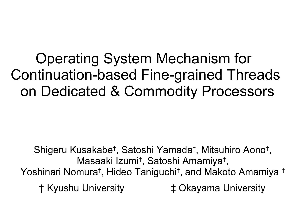Operating System Mechanism for Continuation-based Fine-grained Threads on Dedicated & Commodity Processors

Shigeru Kusakabe<sup>†</sup>, Satoshi Yamada<sup>†</sup>, Mitsuhiro Aono<sup>†</sup>, Masaaki Izumi† , Satoshi Amamiya† , Yoshinari Nomura‡ , Hideo Taniguchi‡ , and Makoto Amamiya † † Kyushu University ‡ Okayama University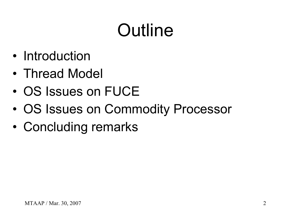# **Outline**

- Introduction
- Thread Model
- OS Issues on FUCE
- OS Issues on Commodity Processor
- Concluding remarks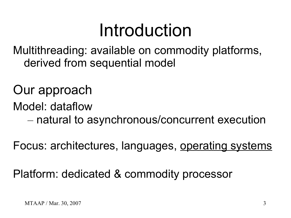### Introduction

Multithreading: available on commodity platforms, derived from sequential model

#### Our approach

Model: dataflow

– natural to asynchronous/concurrent execution

Focus: architectures, languages, operating systems

Platform: dedicated & commodity processor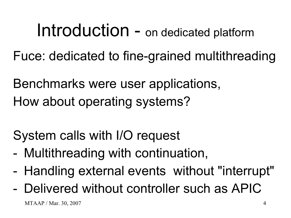### Introduction - on dedicated platform

Fuce: dedicated to fine-grained multithreading

Benchmarks were user applications, How about operating systems?

System calls with I/O request

- Multithreading with continuation,
- Handling external events without "interrupt"
- $MTAAP / Mar. 30, 2007$  4 - Delivered without controller such as APIC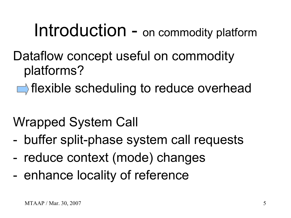### Introduction - on commodity platform

- Dataflow concept useful on commodity platforms?
	- $\blacksquare$  flexible scheduling to reduce overhead
- Wrapped System Call
- buffer split-phase system call requests
- reduce context (mode) changes
- enhance locality of reference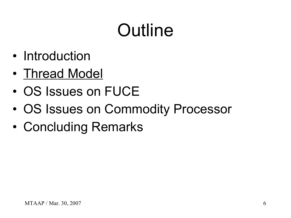# **Outline**

- Introduction
- Thread Model
- OS Issues on FUCE
- OS Issues on Commodity Processor
- Concluding Remarks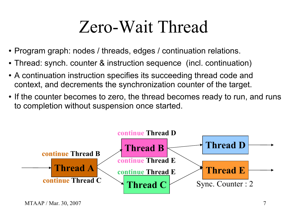### Zero-Wait Thread

- Program graph: nodes / threads, edges / continuation relations.
- Thread: synch. counter & instruction sequence (incl. continuation)
- A continuation instruction specifies its succeeding thread code and context, and decrements the synchronization counter of the target.
- If the counter becomes to zero, the thread becomes ready to run, and runs to completion without suspension once started.

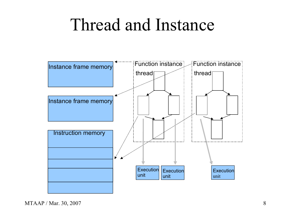#### Thread and Instance

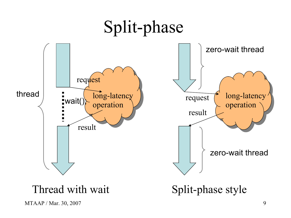

MTAAP / Mar. 30, 2007 9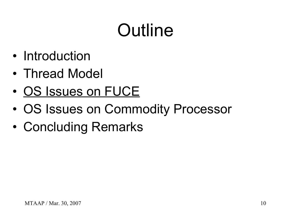# **Outline**

- Introduction
- Thread Model
- OS Issues on FUCE
- OS Issues on Commodity Processor
- Concluding Remarks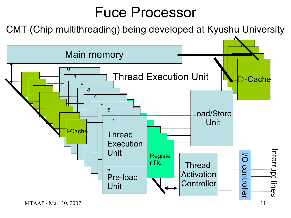#### Fuce Processor

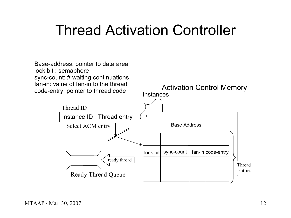#### Thread Activation Controller

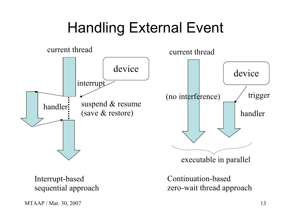#### Handling External Event

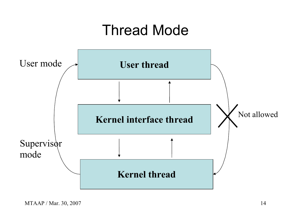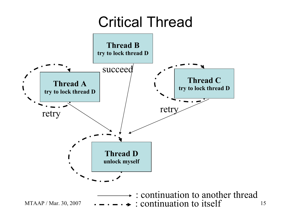#### Critical Thread

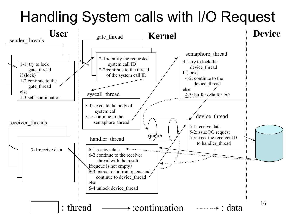#### Handling System calls with I/O Request

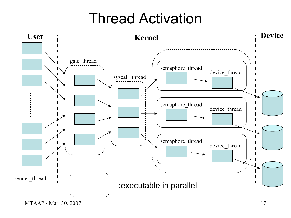#### Thread Activation



MTAAP / Mar. 30, 2007 17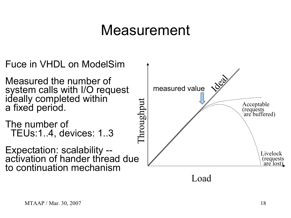#### Measurement

- Fuce in VHDL on ModelSim Measured the number of system calls with I/O request ideally completed within a fixed period.
- The number of TEUs:1..4, devices: 1..3
- Expectation: scalability activation of hander thread due to continuation mechanism



Load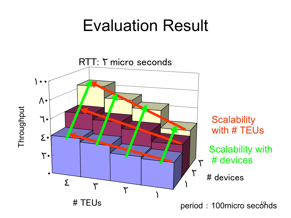#### Evaluation Result

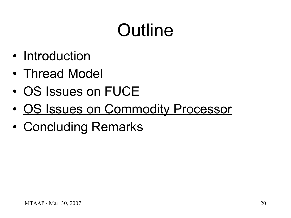# **Outline**

- Introduction
- Thread Model
- OS Issues on FUCE
- OS Issues on Commodity Processor
- Concluding Remarks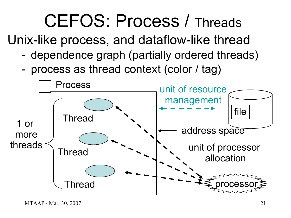## CEFOS: Process / Threads

Unix-like process, and dataflow-like thread

- dependence graph (partially ordered threads)
- process as thread context (color / tag)

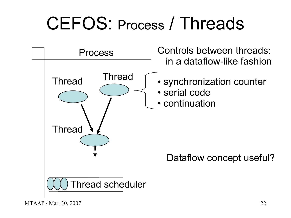### CEFOS: Process / Threads

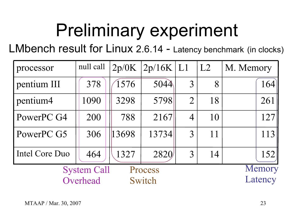# Preliminary experiment

LMbench result for Linux 2.6.14 - Latency benchmark (in clocks)

| processor          | null call | 2p/0K | $2p/16K$   L1 |                | L2 | M. Memory |
|--------------------|-----------|-------|---------------|----------------|----|-----------|
| pentium III        | 378       | 1576  | 5044          | $\overline{3}$ | 8  | 164       |
| pentium4           | 1090      | 3298  | 5798          | $\overline{2}$ | 18 | 261       |
| PowerPC G4         | 200       | 788   | 2167          | $\overline{4}$ | 10 | 127       |
| PowerPC G5         | 306       | 13698 | 13734         | $\overline{3}$ | 11 | 113       |
| Intel Core Duo     | 464       | 1327  | 2820          | $\overline{3}$ | 14 | 152       |
| <b>System Call</b> | Memory    |       |               |                |    |           |
| Overhead<br>Switch |           |       |               |                |    | Latency   |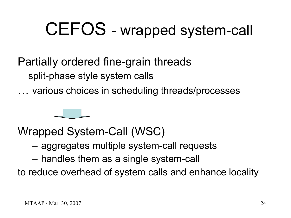### CEFOS - wrapped system-call

#### Partially ordered fine-grain threads split-phase style system calls

… various choices in scheduling threads/processes



Wrapped System-Call (WSC)

- aggregates multiple system-call requests
- handles them as a single system-call

to reduce overhead of system calls and enhance locality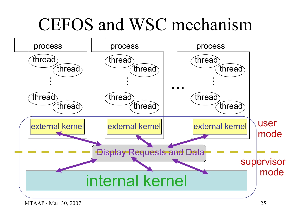### CEFOS and WSC mechanism

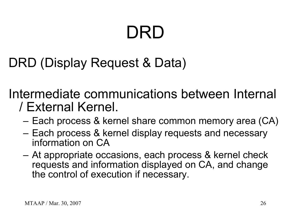# DRD

#### DRD (Display Request & Data)

Intermediate communications between Internal / External Kernel.

- Each process & kernel share common memory area (CA)
- Each process & kernel display requests and necessary information on CA
- At appropriate occasions, each process & kernel check requests and information displayed on CA, and change the control of execution if necessary.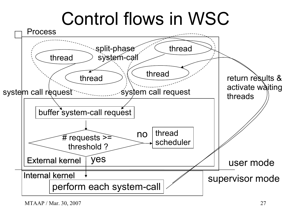### Control flows in WSC



MTAAP / Mar. 30, 2007 27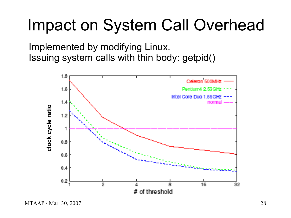#### Impact on System Call Overhead

Implemented by modifying Linux. Issuing system calls with thin body: getpid()



MTAAP / Mar. 30, 2007 28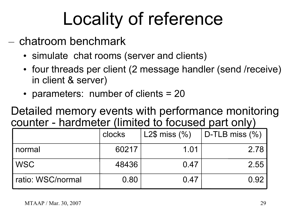# Locality of reference

- chatroom benchmark
	- simulate chat rooms (server and clients)
	- four threads per client (2 message handler (send /receive) in client & server)
	- parameters: number of clients = 20

Detailed memory events with performance monitoring counter - hardmeter (limited to focused part only)

|                   | clocks | L2\$ miss $(\% )$ | $ $ D-TLB miss $(\% )$ |
|-------------------|--------|-------------------|------------------------|
| l normal          | 60217  | 1.01              | 2.78                   |
| WSC               | 48436  | 0.47              | 2.55                   |
| ratio: WSC/normal | 0.80   | 0.47              | 0.92                   |